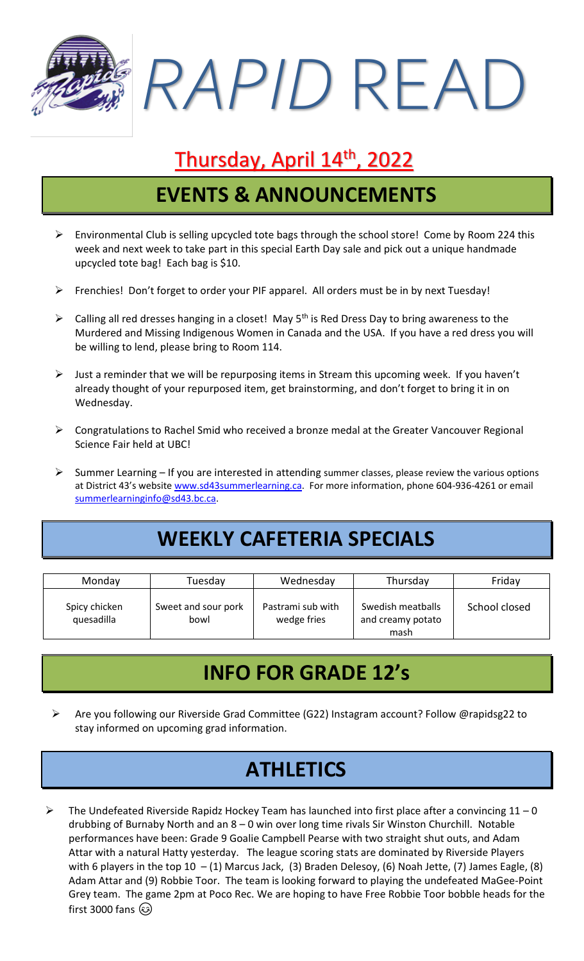*RAPID* READ

### Thursday, April 14<sup>th</sup>, 2022

## **EVENTS & ANNOUNCEMENTS**

- ➢ Environmental Club is selling upcycled tote bags through the school store! Come by Room 224 this week and next week to take part in this special Earth Day sale and pick out a unique handmade upcycled tote bag! Each bag is \$10.
- ➢ Frenchies! Don't forget to order your PIF apparel. All orders must be in by next Tuesday!
- $\triangleright$  Calling all red dresses hanging in a closet! May 5<sup>th</sup> is Red Dress Day to bring awareness to the Murdered and Missing Indigenous Women in Canada and the USA. If you have a red dress you will be willing to lend, please bring to Room 114.
- $\triangleright$  Just a reminder that we will be repurposing items in Stream this upcoming week. If you haven't already thought of your repurposed item, get brainstorming, and don't forget to bring it in on Wednesday.
- ➢ Congratulations to Rachel Smid who received a bronze medal at the Greater Vancouver Regional Science Fair held at UBC!
- ➢ Summer Learning If you are interested in attending summer classes, please review the various options at District 43's website [www.sd43summerlearning.ca.](http://www.sd43summerlearning.ca/) For more information, phone 604-936-4261 or email [summerlearninginfo@sd43.bc.ca.](mailto:summerlearninginfo@sd43.bc.ca)

# **WEEKLY CAFETERIA SPECIALS**

| Monday                      | Tuesday                     | Wednesday                        | Thursday                                       | Friday        |
|-----------------------------|-----------------------------|----------------------------------|------------------------------------------------|---------------|
| Spicy chicken<br>quesadilla | Sweet and sour pork<br>bowl | Pastrami sub with<br>wedge fries | Swedish meatballs<br>and creamy potato<br>mash | School closed |

#### **INFO FOR GRADE 12's**

➢ Are you following our Riverside Grad Committee (G22) Instagram account? Follow @rapidsg22 to stay informed on upcoming grad information.

## **ATHLETICS**

 $\triangleright$  The Undefeated Riverside Rapidz Hockey Team has launched into first place after a convincing 11 – 0 drubbing of Burnaby North and an 8 – 0 win over long time rivals Sir Winston Churchill. Notable performances have been: Grade 9 Goalie Campbell Pearse with two straight shut outs, and Adam Attar with a natural Hatty yesterday. The league scoring stats are dominated by Riverside Players with 6 players in the top 10 – (1) Marcus Jack, (3) Braden Delesoy, (6) Noah Jette, (7) James Eagle, (8) Adam Attar and (9) Robbie Toor. The team is looking forward to playing the undefeated MaGee-Point Grey team. The game 2pm at Poco Rec. We are hoping to have Free Robbie Toor bobble heads for the first 3000 fans (3)